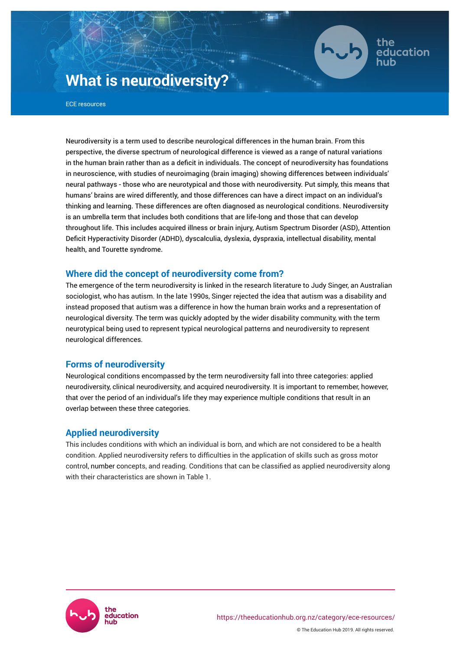

the education

# **What is neurodiversity?**

ECE resources

Neurodiversity is a term used to describe neurological differences in the human brain. From this perspective, the diverse spectrum of neurological difference is viewed as a range of natural variations in the human brain rather than as a deficit in individuals. The concept of neurodiversity has foundations in neuroscience, with studies of neuroimaging (brain imaging) showing differences between individuals' neural pathways - those who are neurotypical and those with neurodiversity. Put simply, this means that humans' brains are wired differently, and those differences can have a direct impact on an individual's thinking and learning. These differences are often diagnosed as neurological conditions. Neurodiversity is an umbrella term that includes both conditions that are life-long and those that can develop throughout life. This includes acquired illness or brain injury, Autism Spectrum Disorder (ASD), Attention Deficit Hyperactivity Disorder (ADHD), dyscalculia, dyslexia, dyspraxia, intellectual disability, mental health, and Tourette syndrome.

# **Where did the concept of neurodiversity come from?**

The emergence of the term neurodiversity is linked in the research literature to Judy Singer, an Australian sociologist, who has autism. In the late 1990s, Singer rejected the idea that autism was a disability and instead proposed that autism was a difference in how the human brain works and a representation of neurological diversity. The term was quickly adopted by the wider disability community, with the term neurotypical being used to represent typical neurological patterns and neurodiversity to represent neurological differences.

# **Forms of neurodiversity**

Neurological conditions encompassed by the term neurodiversity fall into three categories: applied neurodiversity, clinical neurodiversity, and acquired neurodiversity. It is important to remember, however, that over the period of an individual's life they may experience multiple conditions that result in an overlap between these three categories.

# **Applied neurodiversity**

This includes conditions with which an individual is born, and which are not considered to be a health condition. Applied neurodiversity refers to difficulties in the application of skills such as gross motor control, number concepts, and reading. Conditions that can be classified as applied neurodiversity along with their characteristics are shown in Table 1.

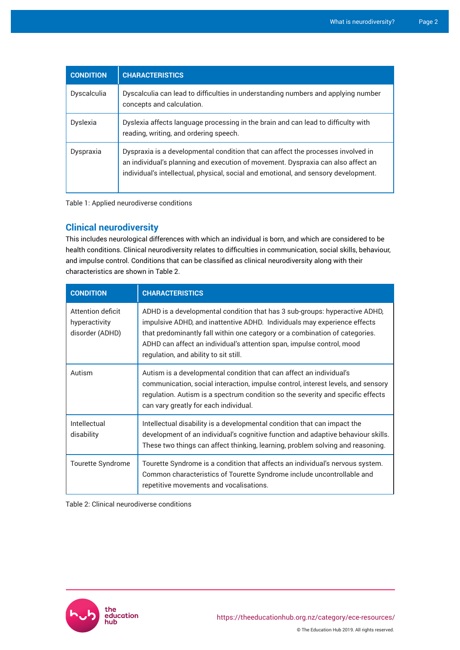| <b>CONDITION</b> | <b>CHARACTERISTICS</b>                                                                                                                                                                                                                                      |
|------------------|-------------------------------------------------------------------------------------------------------------------------------------------------------------------------------------------------------------------------------------------------------------|
| Dyscalculia      | Dyscalculia can lead to difficulties in understanding numbers and applying number<br>concepts and calculation.                                                                                                                                              |
| Dyslexia         | Dyslexia affects language processing in the brain and can lead to difficulty with<br>reading, writing, and ordering speech.                                                                                                                                 |
| Dyspraxia        | Dyspraxia is a developmental condition that can affect the processes involved in<br>an individual's planning and execution of movement. Dyspraxia can also affect an<br>individual's intellectual, physical, social and emotional, and sensory development. |

Table 1: Applied neurodiverse conditions

# **Clinical neurodiversity**

This includes neurological differences with which an individual is born, and which are considered to be health conditions. Clinical neurodiversity relates to difficulties in communication, social skills, behaviour, and impulse control. Conditions that can be classified as clinical neurodiversity along with their characteristics are shown in Table 2.

| <b>CONDITION</b>                                      | <b>CHARACTERISTICS</b>                                                                                                                                                                                                                                                                                                                                  |
|-------------------------------------------------------|---------------------------------------------------------------------------------------------------------------------------------------------------------------------------------------------------------------------------------------------------------------------------------------------------------------------------------------------------------|
| Attention deficit<br>hyperactivity<br>disorder (ADHD) | ADHD is a developmental condition that has 3 sub-groups: hyperactive ADHD,<br>impulsive ADHD, and inattentive ADHD. Individuals may experience effects<br>that predominantly fall within one category or a combination of categories.<br>ADHD can affect an individual's attention span, impulse control, mood<br>regulation, and ability to sit still. |
| Autism                                                | Autism is a developmental condition that can affect an individual's<br>communication, social interaction, impulse control, interest levels, and sensory<br>regulation. Autism is a spectrum condition so the severity and specific effects<br>can vary greatly for each individual.                                                                     |
| Intellectual<br>disability                            | Intellectual disability is a developmental condition that can impact the<br>development of an individual's cognitive function and adaptive behaviour skills.<br>These two things can affect thinking, learning, problem solving and reasoning.                                                                                                          |
| Tourette Syndrome                                     | Tourette Syndrome is a condition that affects an individual's nervous system.<br>Common characteristics of Tourette Syndrome include uncontrollable and<br>repetitive movements and vocalisations.                                                                                                                                                      |

Table 2: Clinical neurodiverse conditions

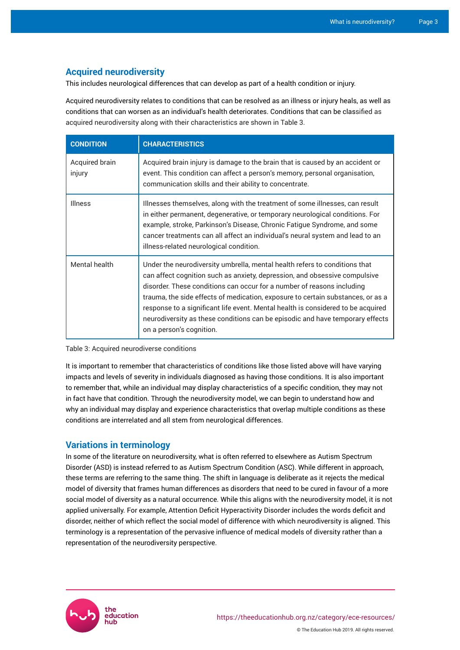# **Acquired neurodiversity**

This includes neurological differences that can develop as part of a health condition or injury.

Acquired neurodiversity relates to conditions that can be resolved as an illness or injury heals, as well as conditions that can worsen as an individual's health deteriorates. Conditions that can be classified as acquired neurodiversity along with their characteristics are shown in Table 3.

| <b>CONDITION</b>         | <b>CHARACTERISTICS</b>                                                                                                                                                                                                                                                                                                                                                                                                                                                                                                 |
|--------------------------|------------------------------------------------------------------------------------------------------------------------------------------------------------------------------------------------------------------------------------------------------------------------------------------------------------------------------------------------------------------------------------------------------------------------------------------------------------------------------------------------------------------------|
| Acquired brain<br>injury | Acquired brain injury is damage to the brain that is caused by an accident or<br>event. This condition can affect a person's memory, personal organisation,<br>communication skills and their ability to concentrate.                                                                                                                                                                                                                                                                                                  |
| <b>Illness</b>           | Illnesses themselves, along with the treatment of some illnesses, can result<br>in either permanent, degenerative, or temporary neurological conditions. For<br>example, stroke, Parkinson's Disease, Chronic Fatigue Syndrome, and some<br>cancer treatments can all affect an individual's neural system and lead to an<br>illness-related neurological condition.                                                                                                                                                   |
| Mental health            | Under the neurodiversity umbrella, mental health refers to conditions that<br>can affect cognition such as anxiety, depression, and obsessive compulsive<br>disorder. These conditions can occur for a number of reasons including<br>trauma, the side effects of medication, exposure to certain substances, or as a<br>response to a significant life event. Mental health is considered to be acquired<br>neurodiversity as these conditions can be episodic and have temporary effects<br>on a person's cognition. |

Table 3: Acquired neurodiverse conditions

It is important to remember that characteristics of conditions like those listed above will have varying impacts and levels of severity in individuals diagnosed as having those conditions. It is also important to remember that, while an individual may display characteristics of a specific condition, they may not in fact have that condition. Through the neurodiversity model, we can begin to understand how and why an individual may display and experience characteristics that overlap multiple conditions as these conditions are interrelated and all stem from neurological differences.

# **Variations in terminology**

In some of the literature on neurodiversity, what is often referred to elsewhere as Autism Spectrum Disorder (ASD) is instead referred to as Autism Spectrum Condition (ASC). While different in approach, these terms are referring to the same thing. The shift in language is deliberate as it rejects the medical model of diversity that frames human differences as disorders that need to be cured in favour of a more social model of diversity as a natural occurrence. While this aligns with the neurodiversity model, it is not applied universally. For example, Attention Deficit Hyperactivity Disorder includes the words deficit and disorder, neither of which reflect the social model of difference with which neurodiversity is aligned. This terminology is a representation of the pervasive influence of medical models of diversity rather than a representation of the neurodiversity perspective.

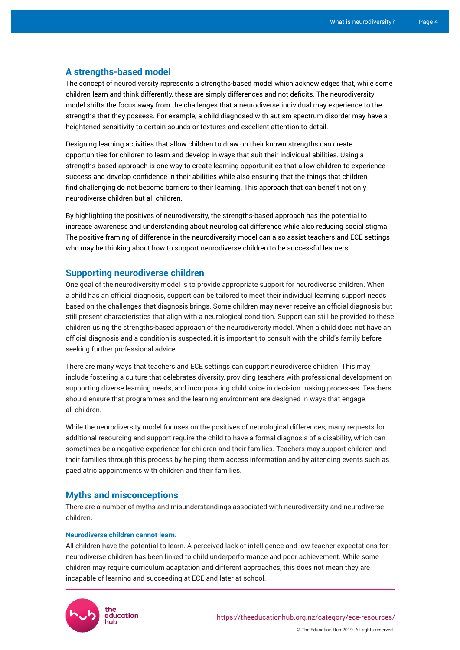## **A strengths-based model**

The concept of neurodiversity represents a strengths-based model which acknowledges that, while some children learn and think differently, these are simply differences and not deficits. The neurodiversity model shifts the focus away from the challenges that a neurodiverse individual may experience to the strengths that they possess. For example, a child diagnosed with autism spectrum disorder may have a heightened sensitivity to certain sounds or textures and excellent attention to detail.

Designing learning activities that allow children to draw on their known strengths can create opportunities for children to learn and develop in ways that suit their individual abilities. Using a strengths-based approach is one way to create learning opportunities that allow children to experience success and develop confidence in their abilities while also ensuring that the things that children find challenging do not become barriers to their learning. This approach that can benefit not only neurodiverse children but all children.

By highlighting the positives of neurodiversity, the strengths-based approach has the potential to increase awareness and understanding about neurological difference while also reducing social stigma. The positive framing of difference in the neurodiversity model can also assist teachers and ECE settings who may be thinking about how to support neurodiverse children to be successful learners.

## **Supporting neurodiverse children**

One goal of the neurodiversity model is to provide appropriate support for neurodiverse children. When a child has an official diagnosis, support can be tailored to meet their individual learning support needs based on the challenges that diagnosis brings. Some children may never receive an official diagnosis but still present characteristics that align with a neurological condition. Support can still be provided to these children using the strengths-based approach of the neurodiversity model. When a child does not have an official diagnosis and a condition is suspected, it is important to consult with the child's family before seeking further professional advice.

There are many ways that teachers and ECE settings can support neurodiverse children. This may include fostering a culture that celebrates diversity, providing teachers with professional development on supporting diverse learning needs, and incorporating child voice in decision making processes. Teachers should ensure that programmes and the learning environment are designed in ways that engage all children.

While the neurodiversity model focuses on the positives of neurological differences, many requests for additional resourcing and support require the child to have a formal diagnosis of a disability, which can sometimes be a negative experience for children and their families. Teachers may support children and their families through this process by helping them access information and by attending events such as paediatric appointments with children and their families.

## **Myths and misconceptions**

There are a number of myths and misunderstandings associated with neurodiversity and neurodiverse children.

### **Neurodiverse children cannot learn.**

All children have the potential to learn. A perceived lack of intelligence and low teacher expectations for neurodiverse children has been linked to child underperformance and poor achievement. While some children may require curriculum adaptation and different approaches, this does not mean they are incapable of learning and succeeding at ECE and later at school.

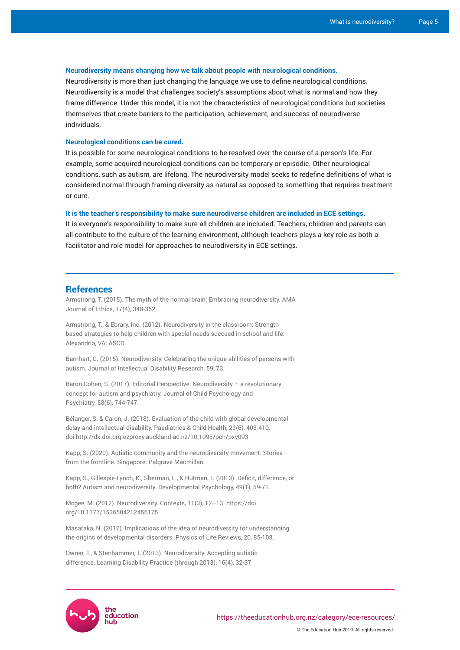#### **Neurodiversity means changing how we talk about people with neurological conditions.**

Neurodiversity is more than just changing the language we use to define neurological conditions. Neurodiversity is a model that challenges society's assumptions about what is normal and how they frame difference. Under this model, it is not the characteristics of neurological conditions but societies themselves that create barriers to the participation, achievement, and success of neurodiverse individuals.

#### **Neurological conditions can be cured.**

It is possible for some neurological conditions to be resolved over the course of a person's life. For example, some acquired neurological conditions can be temporary or episodic. Other neurological conditions, such as autism, are lifelong. The neurodiversity model seeks to redefine definitions of what is considered normal through framing diversity as natural as opposed to something that requires treatment or cure.

#### **It is the teacher's responsibility to make sure neurodiverse children are included in ECE settings.**

It is everyone's responsibility to make sure all children are included. Teachers, children and parents can all contribute to the culture of the learning environment, although teachers plays a key role as both a facilitator and role model for approaches to neurodiversity in ECE settings.

#### **References**

Armstrong, T. (2015). The myth of the normal brain: Embracing neurodiversity. AMA Journal of Ethics, 17(4), 348-352.

Armstrong, T., & Ebrary, Inc. (2012). Neurodiversity in the classroom: Strengthbased strategies to help children with special needs succeed in school and life. Alexandria, VA: ASCD.

Barnhart, G. (2015). Neurodiversity: Celebrating the unique abilities of persons with autism. Journal of Intellectual Disability Research, 59, 73.

Baron Cohen, S. (2017). Editorial Perspective: Neurodiversity - a revolutionary concept for autism and psychiatry. Journal of Child Psychology and Psychiatry, 58(6), 744-747.

Bélanger, S. & Caron, J. (2018). Evaluation of the child with global developmental delay and intellectual disability. Paediatrics & Child Health, 23(6), 403-410. doi:http://dx.doi.org.ezproxy.auckland.ac.nz/10.1093/pch/pxy093

Kapp, S. (2020). Autistic community and the neurodiversity movement: Stories from the frontline. Singapore: Palgrave Macmillan.

Kapp, S., Gillespie-Lynch, K., Sherman, L., & Hutman, T. (2013). Deficit, difference, or both? Autism and neurodiversity. Developmental Psychology, 49(1), 59-71.

Mcgee, M. (2012). Neurodiversity. Contexts, 11(3), 12–13. https://doi. org[/10.1177/1536504212456175](https://doi-org.ezproxy.auckland.ac.nz/10.1177/1536504212456175)

Masataka, N. (2017). Implications of the idea of neurodiversity for understanding the origins of developmental disorders. Physics of Life Reviews, 20, 85-108.

Owren, T., & Stenhammer, T. (2013). Neurodiversity: Accepting autistic difference. Learning Disability Practice (through 2013), 16(4), 32-37.